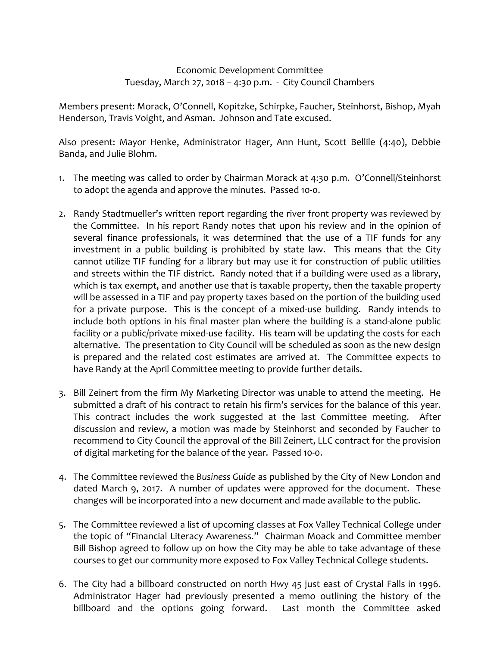## Economic Development Committee Tuesday, March 27, 2018 – 4:30 p.m. ‐ City Council Chambers

Members present: Morack, O'Connell, Kopitzke, Schirpke, Faucher, Steinhorst, Bishop, Myah Henderson, Travis Voight, and Asman. Johnson and Tate excused.

Also present: Mayor Henke, Administrator Hager, Ann Hunt, Scott Bellile (4:40), Debbie Banda, and Julie Blohm.

- 1. The meeting was called to order by Chairman Morack at 4:30 p.m. O'Connell/Steinhorst to adopt the agenda and approve the minutes. Passed 10‐0.
- 2. Randy Stadtmueller's written report regarding the river front property was reviewed by the Committee. In his report Randy notes that upon his review and in the opinion of several finance professionals, it was determined that the use of a TIF funds for any investment in a public building is prohibited by state law. This means that the City cannot utilize TIF funding for a library but may use it for construction of public utilities and streets within the TIF district. Randy noted that if a building were used as a library, which is tax exempt, and another use that is taxable property, then the taxable property will be assessed in a TIF and pay property taxes based on the portion of the building used for a private purpose. This is the concept of a mixed-use building. Randy intends to include both options in his final master plan where the building is a stand‐alone public facility or a public/private mixed-use facility. His team will be updating the costs for each alternative. The presentation to City Council will be scheduled as soon as the new design is prepared and the related cost estimates are arrived at. The Committee expects to have Randy at the April Committee meeting to provide further details.
- 3. Bill Zeinert from the firm My Marketing Director was unable to attend the meeting. He submitted a draft of his contract to retain his firm's services for the balance of this year. This contract includes the work suggested at the last Committee meeting. After discussion and review, a motion was made by Steinhorst and seconded by Faucher to recommend to City Council the approval of the Bill Zeinert, LLC contract for the provision of digital marketing for the balance of the year. Passed 10‐0.
- 4. The Committee reviewed the *Business Guide* as published by the City of New London and dated March 9, 2017. A number of updates were approved for the document. These changes will be incorporated into a new document and made available to the public.
- 5. The Committee reviewed a list of upcoming classes at Fox Valley Technical College under the topic of "Financial Literacy Awareness." Chairman Moack and Committee member Bill Bishop agreed to follow up on how the City may be able to take advantage of these courses to get our community more exposed to Fox Valley Technical College students.
- 6. The City had a billboard constructed on north Hwy 45 just east of Crystal Falls in 1996. Administrator Hager had previously presented a memo outlining the history of the billboard and the options going forward. Last month the Committee asked